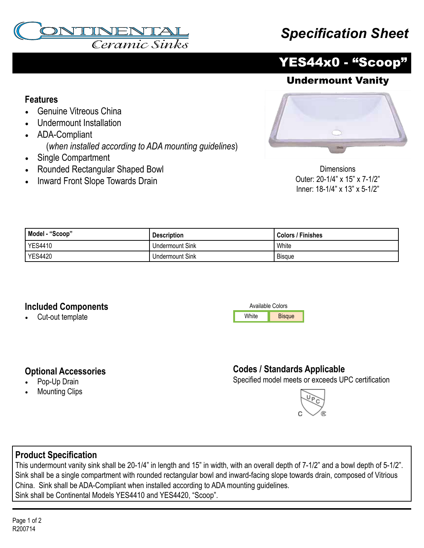

# *Specification Sheet*



### Undermount Vanity

#### **Features**

- Genuine Vitreous China
- Undermount Installation
- ADA-Compliant (*when installed according to ADA mounting guidelines*)
- Single Compartment
- Rounded Rectangular Shaped Bowl
- Inward Front Slope Towards Drain



Dimensions Outer: 20-1/4" x 15" x 7-1/2" Inner: 18-1/4" x 13" x 5-1/2"

| Model - "Scoop" | <b>Description</b>     | Colors / Finishes |
|-----------------|------------------------|-------------------|
| <b>YES4410</b>  | <b>Undermount Sink</b> | White             |
| <b>YES4420</b>  | <b>Undermount Sink</b> | <b>Bisque</b>     |

#### **Included Components**

**Optional Accessories** Pop-Up Drain **Mounting Clips** 

• Cut-out template



## **Codes / Standards Applicable**

Specified model meets or exceeds UPC certification



#### **Product Specification**

This undermount vanity sink shall be 20-1/4" in length and 15" in width, with an overall depth of 7-1/2" and a bowl depth of 5-1/2". Sink shall be a single compartment with rounded rectangular bowl and inward-facing slope towards drain, composed of Vitrious China. Sink shall be ADA-Compliant when installed according to ADA mounting guidelines. Sink shall be Continental Models YES4410 and YES4420, "Scoop".